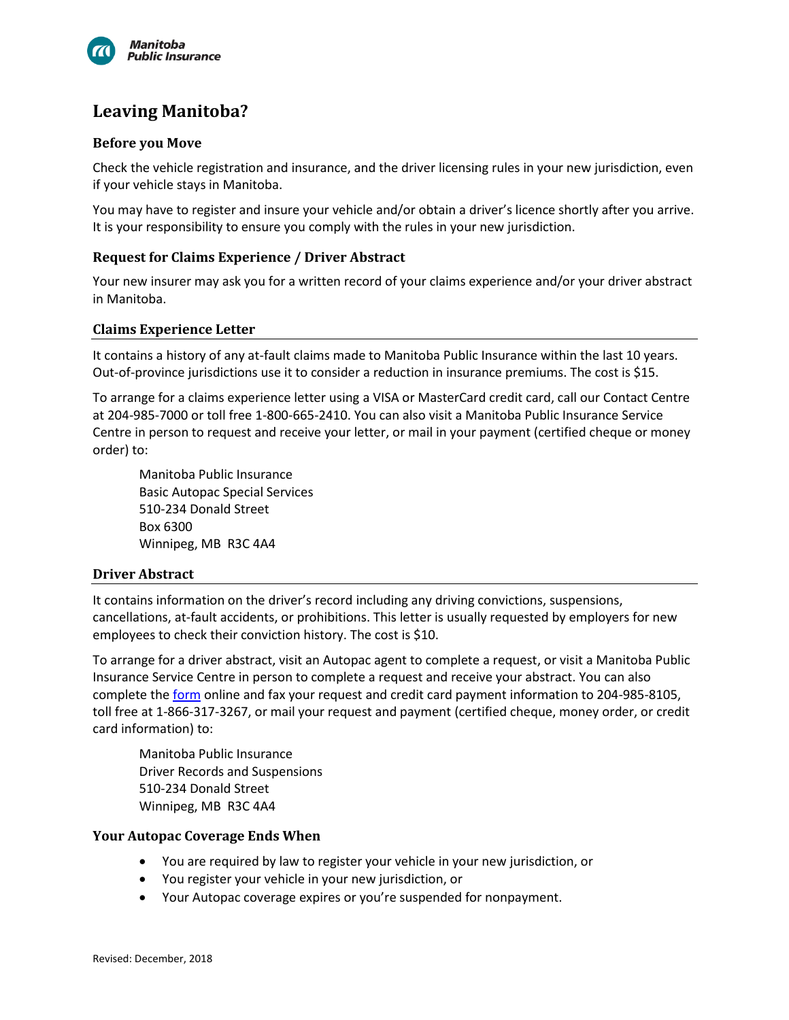

# **Leaving Manitoba?**

## **Before you Move**

Check the vehicle registration and insurance, and the driver licensing rules in your new jurisdiction, even if your vehicle stays in Manitoba.

You may have to register and insure your vehicle and/or obtain a driver's licence shortly after you arrive. It is your responsibility to ensure you comply with the rules in your new jurisdiction.

### **Request for Claims Experience / Driver Abstract**

Your new insurer may ask you for a written record of your claims experience and/or your driver abstract in Manitoba.

#### **Claims Experience Letter**

It contains a history of any at-fault claims made to Manitoba Public Insurance within the last 10 years. Out-of-province jurisdictions use it to consider a reduction in insurance premiums. The cost is \$15.

To arrange for a claims experience letter using a VISA or MasterCard credit card, call our Contact Centre at 204-985-7000 or toll free 1-800-665-2410. You can also visit a Manitoba Public Insurance Service Centre in person to request and receive your letter, or mail in your payment (certified cheque or money order) to:

Manitoba Public Insurance Basic Autopac Special Services 510-234 Donald Street Box 6300 Winnipeg, MB R3C 4A4

### **Driver Abstract**

It contains information on the driver's record including any driving convictions, suspensions, cancellations, at-fault accidents, or prohibitions. This letter is usually requested by employers for new employees to check their conviction history. The cost is \$10.

To arrange for a driver abstract, visit an Autopac agent to complete a request, or visit a Manitoba Public Insurance Service Centre in person to complete a request and receive your abstract. You can also complete the [form](http://www.mpi.mb.ca/en/PDFs/DriverAbstractRequestForm.pdf) online and fax your request and credit card payment information to 204-985-8105, toll free at 1-866-317-3267, or mail your request and payment (certified cheque, money order, or credit card information) to:

Manitoba Public Insurance Driver Records and Suspensions 510-234 Donald Street Winnipeg, MB R3C 4A4

### **Your Autopac Coverage Ends When**

- You are required by law to register your vehicle in your new jurisdiction, or
- You register your vehicle in your new jurisdiction, or
- Your Autopac coverage expires or you're suspended for nonpayment.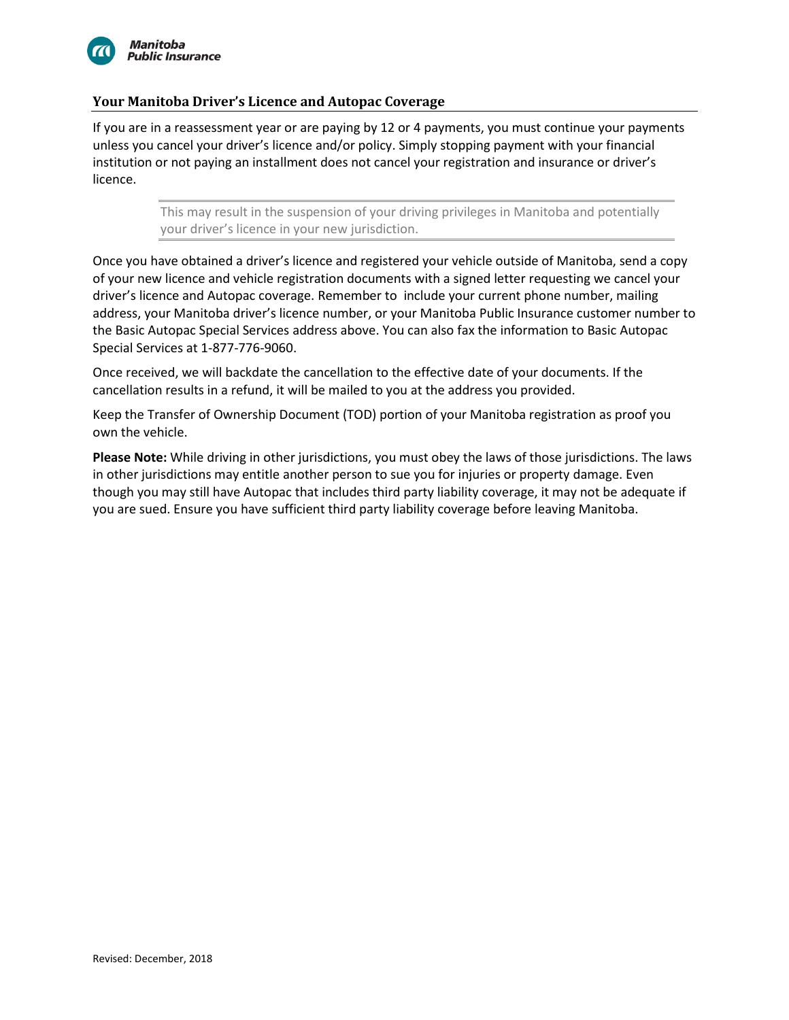

## **Your Manitoba Driver's Licence and Autopac Coverage**

If you are in a reassessment year or are paying by 12 or 4 payments, you must continue your payments unless you cancel your driver's licence and/or policy. Simply stopping payment with your financial institution or not paying an installment does not cancel your registration and insurance or driver's licence.

> This may result in the suspension of your driving privileges in Manitoba and potentially your driver's licence in your new jurisdiction.

Once you have obtained a driver's licence and registered your vehicle outside of Manitoba, send a copy of your new licence and vehicle registration documents with a signed letter requesting we cancel your driver's licence and Autopac coverage. Remember to include your current phone number, mailing address, your Manitoba driver's licence number, or your Manitoba Public Insurance customer number to the Basic Autopac Special Services address above. You can also fax the information to Basic Autopac Special Services at 1-877-776-9060.

Once received, we will backdate the cancellation to the effective date of your documents. If the cancellation results in a refund, it will be mailed to you at the address you provided.

Keep the Transfer of Ownership Document (TOD) portion of your Manitoba registration as proof you own the vehicle.

**Please Note:** While driving in other jurisdictions, you must obey the laws of those jurisdictions. The laws in other jurisdictions may entitle another person to sue you for injuries or property damage. Even though you may still have Autopac that includes third party liability coverage, it may not be adequate if you are sued. Ensure you have sufficient third party liability coverage before leaving Manitoba.